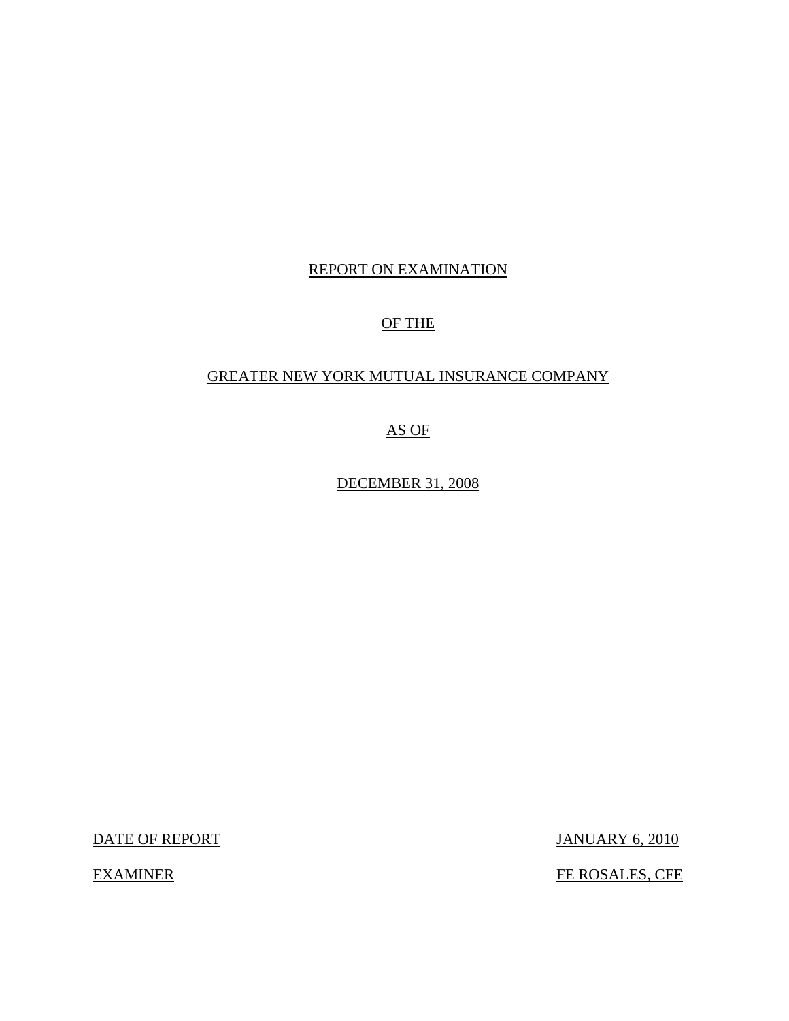## REPORT ON EXAMINATION

## OF THE

## GREATER NEW YORK MUTUAL INSURANCE COMPANY

AS OF

DECEMBER 31, 2008

DATE OF REPORT JANUARY 6, 2010

EXAMINER FE ROSALES, CFE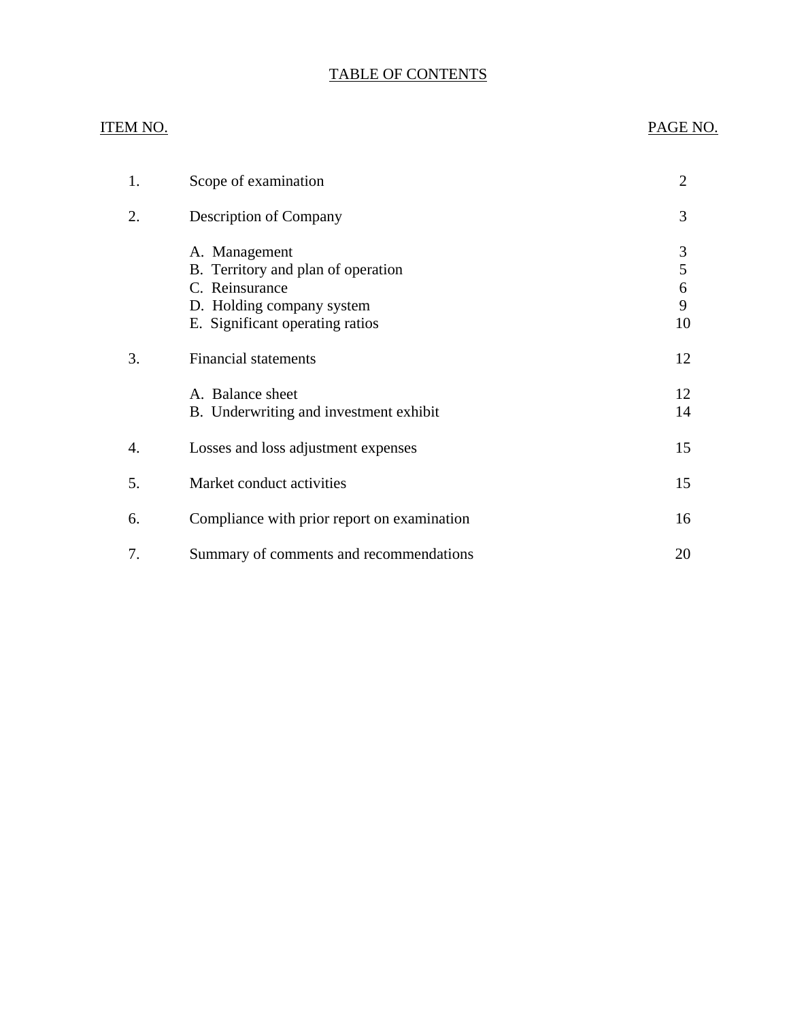## TABLE OF CONTENTS

## ITEM NO. PAGE NO.

| 1. | Scope of examination                                                                                                                  | 2                      |
|----|---------------------------------------------------------------------------------------------------------------------------------------|------------------------|
| 2. | <b>Description of Company</b>                                                                                                         | 3                      |
|    | A. Management<br>B. Territory and plan of operation<br>C. Reinsurance<br>D. Holding company system<br>E. Significant operating ratios | 3<br>5<br>6<br>9<br>10 |
| 3. | <b>Financial statements</b>                                                                                                           | 12                     |
|    | A. Balance sheet<br>B. Underwriting and investment exhibit                                                                            | 12<br>14               |
| 4. | Losses and loss adjustment expenses                                                                                                   | 15                     |
| 5. | Market conduct activities                                                                                                             | 15                     |
| 6. | Compliance with prior report on examination                                                                                           | 16                     |
| 7. | Summary of comments and recommendations                                                                                               | 20                     |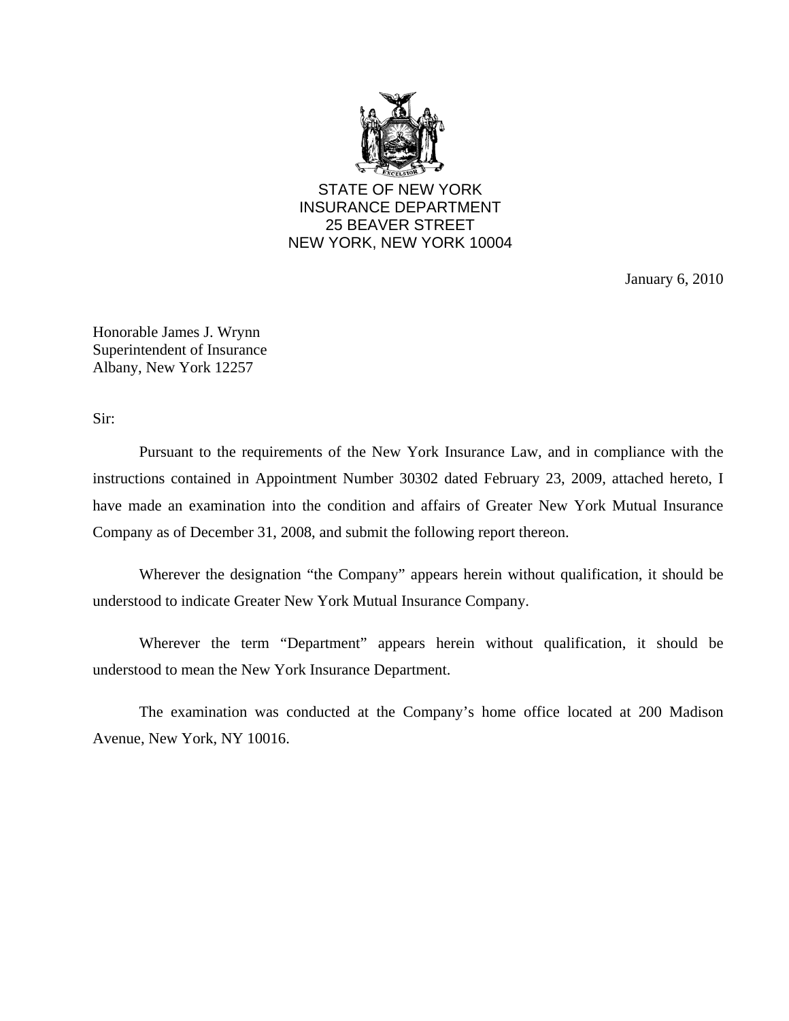

STATE OF NEW YORK INSURANCE DEPARTMENT 25 BEAVER STREET NEW YORK, NEW YORK 10004

January 6, 2010

Honorable James J. Wrynn Superintendent of Insurance Albany, New York 12257

Sir:

Pursuant to the requirements of the New York Insurance Law, and in compliance with the instructions contained in Appointment Number 30302 dated February 23, 2009, attached hereto, I have made an examination into the condition and affairs of Greater New York Mutual Insurance Company as of December 31, 2008, and submit the following report thereon.

Wherever the designation "the Company" appears herein without qualification, it should be understood to indicate Greater New York Mutual Insurance Company.

Wherever the term "Department" appears herein without qualification, it should be understood to mean the New York Insurance Department.

The examination was conducted at the Company's home office located at 200 Madison Avenue, New York, NY 10016.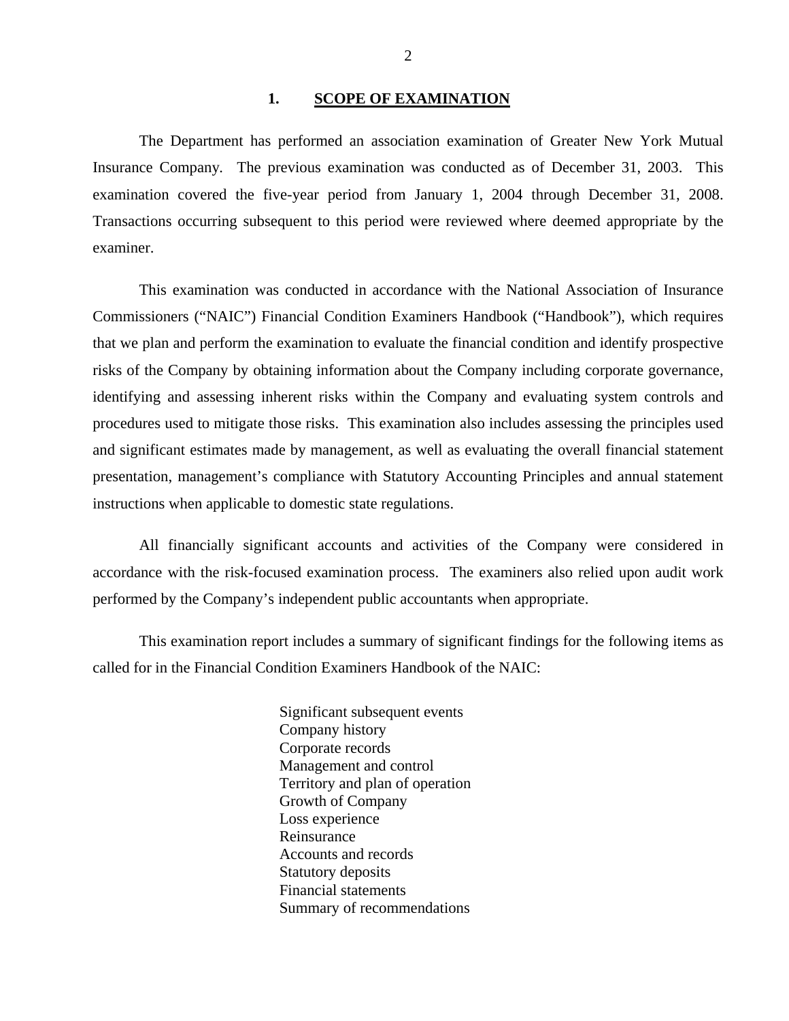#### 1. SCOPE OF EXAMINATION

<span id="page-3-0"></span>The Department has performed an association examination of Greater New York Mutual Insurance Company*.* The previous examination was conducted as of December 31, 2003. This examination covered the five-year period from January 1, 2004 through December 31, 2008. Transactions occurring subsequent to this period were reviewed where deemed appropriate by the examiner.

This examination was conducted in accordance with the National Association of Insurance Commissioners ("NAIC") Financial Condition Examiners Handbook ("Handbook"), which requires that we plan and perform the examination to evaluate the financial condition and identify prospective risks of the Company by obtaining information about the Company including corporate governance, identifying and assessing inherent risks within the Company and evaluating system controls and procedures used to mitigate those risks. This examination also includes assessing the principles used and significant estimates made by management, as well as evaluating the overall financial statement presentation, management's compliance with Statutory Accounting Principles and annual statement instructions when applicable to domestic state regulations.

All financially significant accounts and activities of the Company were considered in accordance with the risk-focused examination process. The examiners also relied upon audit work performed by the Company's independent public accountants when appropriate.

This examination report includes a summary of significant findings for the following items as called for in the Financial Condition Examiners Handbook of the NAIC:

> Significant subsequent events Company history Corporate records Management and control Territory and plan of operation Growth of Company Loss experience Reinsurance Accounts and records Statutory deposits Financial statements Summary of recommendations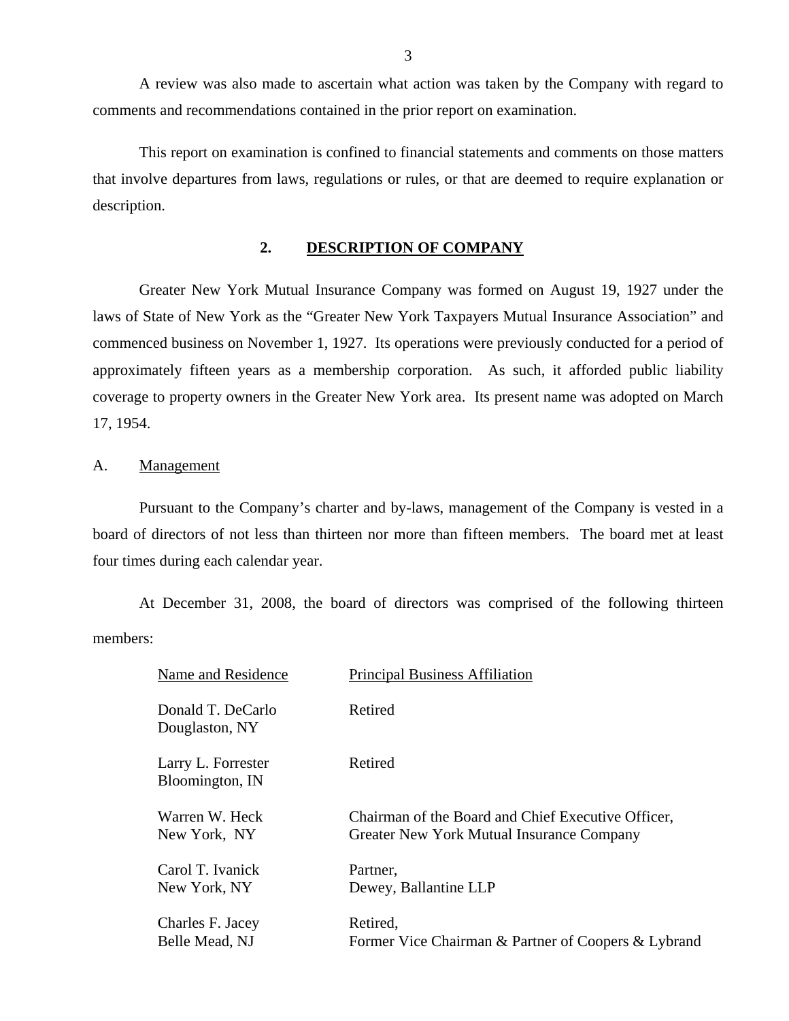<span id="page-4-0"></span>A review was also made to ascertain what action was taken by the Company with regard to comments and recommendations contained in the prior report on examination.

This report on examination is confined to financial statements and comments on those matters that involve departures from laws, regulations or rules, or that are deemed to require explanation or description.

### **2. DESCRIPTION OF COMPANY**

Greater New York Mutual Insurance Company was formed on August 19, 1927 under the laws of State of New York as the "Greater New York Taxpayers Mutual Insurance Association" and commenced business on November 1, 1927. Its operations were previously conducted for a period of approximately fifteen years as a membership corporation. As such, it afforded public liability coverage to property owners in the Greater New York area. Its present name was adopted on March 17, 1954.

#### A. Management

Pursuant to the Company's charter and by-laws, management of the Company is vested in a board of directors of not less than thirteen nor more than fifteen members. The board met at least four times during each calendar year.

At December 31, 2008, the board of directors was comprised of the following thirteen members:

| Name and Residence                    | <b>Principal Business Affiliation</b>               |
|---------------------------------------|-----------------------------------------------------|
| Donald T. DeCarlo<br>Douglaston, NY   | Retired                                             |
| Larry L. Forrester<br>Bloomington, IN | Retired                                             |
| Warren W. Heck                        | Chairman of the Board and Chief Executive Officer,  |
| New York, NY                          | Greater New York Mutual Insurance Company           |
| Carol T. Ivanick                      | Partner,                                            |
| New York, NY                          | Dewey, Ballantine LLP                               |
| Charles F. Jacey                      | Retired.                                            |
| Belle Mead, NJ                        | Former Vice Chairman & Partner of Coopers & Lybrand |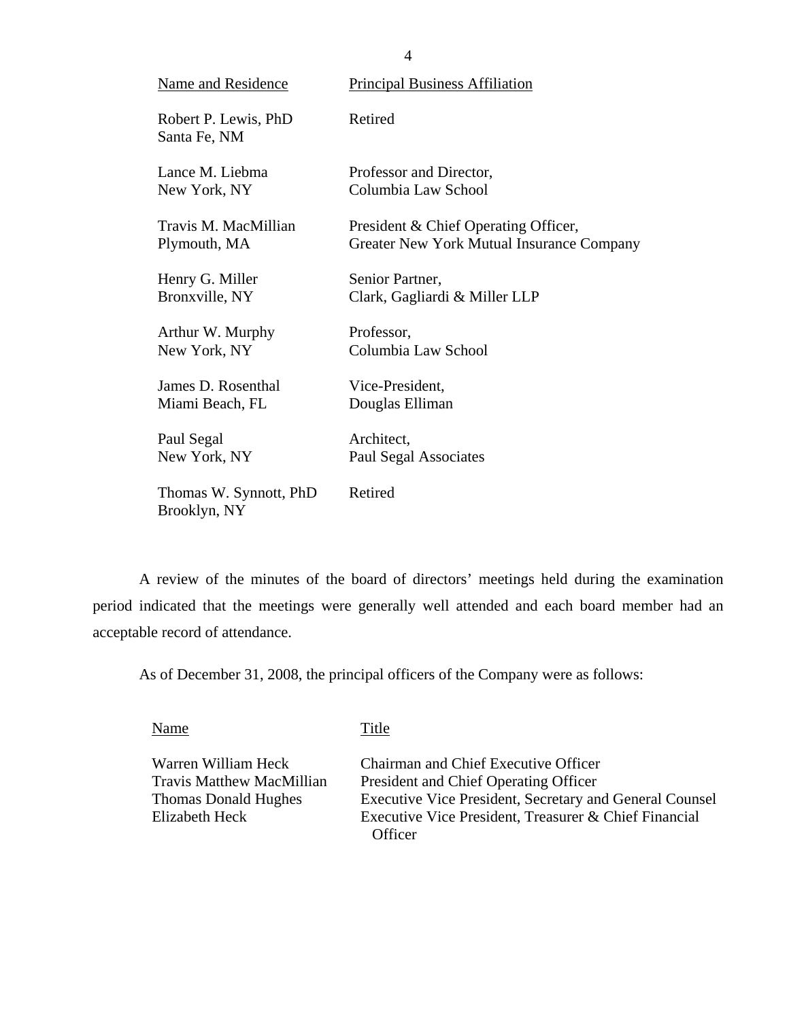| <b>Name and Residence</b>              | <b>Principal Business Affiliation</b>     |
|----------------------------------------|-------------------------------------------|
| Robert P. Lewis, PhD<br>Santa Fe, NM   | Retired                                   |
| Lance M. Liebma                        | Professor and Director,                   |
| New York, NY                           | Columbia Law School                       |
| Travis M. MacMillian                   | President & Chief Operating Officer,      |
| Plymouth, MA                           | Greater New York Mutual Insurance Company |
| Henry G. Miller                        | Senior Partner,                           |
| Bronxville, NY                         | Clark, Gagliardi & Miller LLP             |
| Arthur W. Murphy                       | Professor,                                |
| New York, NY                           | Columbia Law School                       |
| James D. Rosenthal                     | Vice-President,                           |
| Miami Beach, FL                        | Douglas Elliman                           |
| Paul Segal                             | Architect,                                |
| New York, NY                           | Paul Segal Associates                     |
| Thomas W. Synnott, PhD<br>Brooklyn, NY | Retired                                   |

A review of the minutes of the board of directors' meetings held during the examination period indicated that the meetings were generally well attended and each board member had an acceptable record of attendance.

As of December 31, 2008, the principal officers of the Company were as follows:

Name Title

Warren William Heck Chairman and Chief Executive Officer Travis Matthew MacMillian President and Chief Operating Officer Thomas Donald Hughes Executive Vice President, Secretary and General Counsel Elizabeth Heck Executive Vice President, Treasurer & Chief Financial **Officer** 

4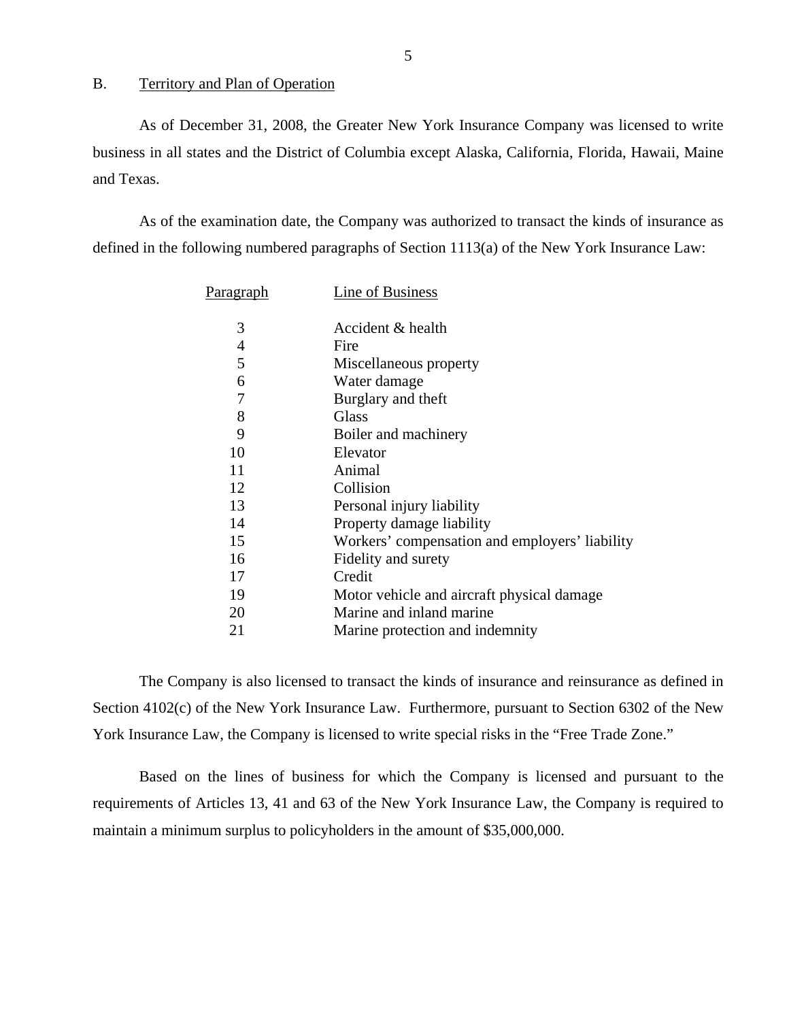<span id="page-6-0"></span>B. Territory and Plan of Operation

As of December 31, 2008, the Greater New York Insurance Company was licensed to write business in all states and the District of Columbia except Alaska, California, Florida, Hawaii, Maine and Texas.

As of the examination date, the Company was authorized to transact the kinds of insurance as defined in the following numbered paragraphs of Section 1113(a) of the New York Insurance Law:

| P <u>aragraph</u> | Line of Business                               |
|-------------------|------------------------------------------------|
| 3                 | Accident & health                              |
| 4                 | Fire                                           |
| 5                 | Miscellaneous property                         |
| 6                 | Water damage                                   |
| $\overline{7}$    | Burglary and theft                             |
| 8                 | Glass                                          |
| 9                 | Boiler and machinery                           |
| 10                | Elevator                                       |
| 11                | Animal                                         |
| 12                | Collision                                      |
| 13                | Personal injury liability                      |
| 14                | Property damage liability                      |
| 15                | Workers' compensation and employers' liability |
| 16                | Fidelity and surety                            |
| 17                | Credit                                         |
| 19                | Motor vehicle and aircraft physical damage     |
| 20                | Marine and inland marine                       |
| 21                | Marine protection and indemnity                |

The Company is also licensed to transact the kinds of insurance and reinsurance as defined in Section 4102(c) of the New York Insurance Law. Furthermore, pursuant to Section 6302 of the New York Insurance Law, the Company is licensed to write special risks in the "Free Trade Zone."

Based on the lines of business for which the Company is licensed and pursuant to the requirements of Articles 13, 41 and 63 of the New York Insurance Law, the Company is required to maintain a minimum surplus to policyholders in the amount of \$35,000,000.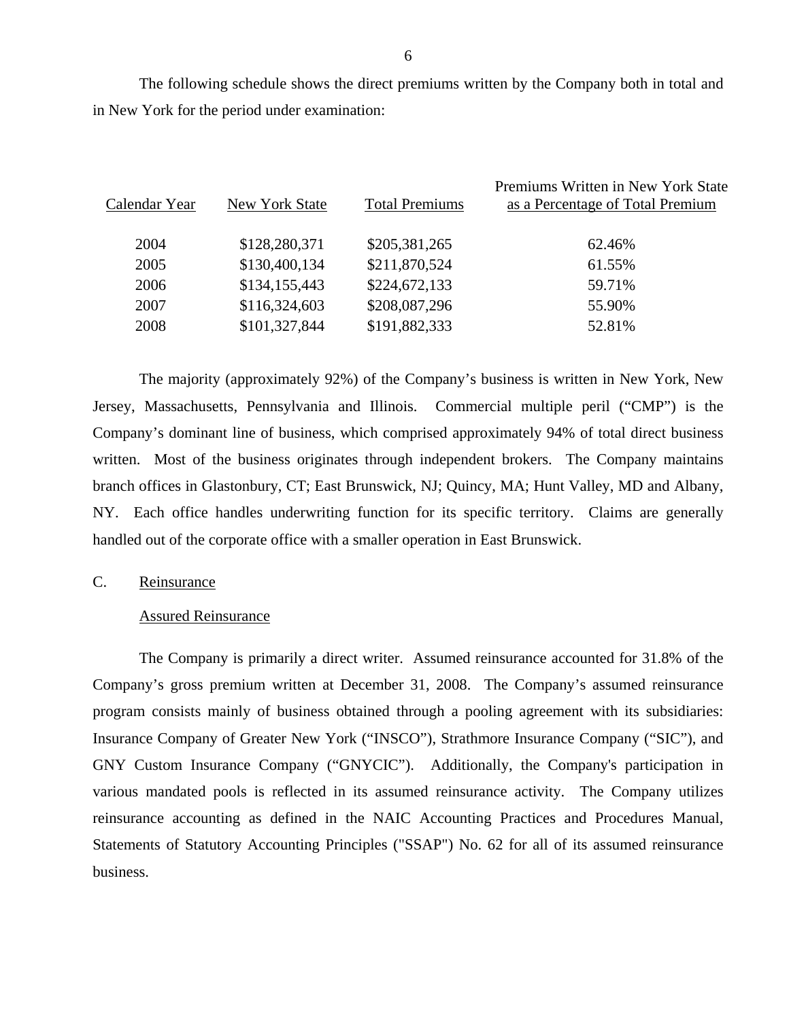<span id="page-7-0"></span>The following schedule shows the direct premiums written by the Company both in total and in New York for the period under examination:

| Calendar Year | New York State | <b>Total Premiums</b> | Premiums Written in New York State<br>as a Percentage of Total Premium |
|---------------|----------------|-----------------------|------------------------------------------------------------------------|
| 2004          | \$128,280,371  | \$205,381,265         | 62.46%                                                                 |
| 2005          | \$130,400,134  | \$211,870,524         | 61.55%                                                                 |
| 2006          | \$134,155,443  | \$224,672,133         | 59.71%                                                                 |
| 2007          | \$116,324,603  | \$208,087,296         | 55.90%                                                                 |
| 2008          | \$101,327,844  | \$191,882,333         | 52.81%                                                                 |
|               |                |                       |                                                                        |

The majority (approximately 92%) of the Company's business is written in New York, New Jersey, Massachusetts, Pennsylvania and Illinois. Commercial multiple peril ("CMP") is the Company's dominant line of business, which comprised approximately 94% of total direct business written. Most of the business originates through independent brokers. The Company maintains branch offices in Glastonbury, CT; East Brunswick, NJ; Quincy, MA; Hunt Valley, MD and Albany, NY. Each office handles underwriting function for its specific territory. Claims are generally handled out of the corporate office with a smaller operation in East Brunswick.

## C. Reinsurance

#### Assured Reinsurance

The Company is primarily a direct writer. Assumed reinsurance accounted for 31.8% of the Company's gross premium written at December 31, 2008. The Company's assumed reinsurance program consists mainly of business obtained through a pooling agreement with its subsidiaries: Insurance Company of Greater New York ("INSCO"), Strathmore Insurance Company ("SIC"), and GNY Custom Insurance Company ("GNYCIC"). Additionally, the Company's participation in various mandated pools is reflected in its assumed reinsurance activity. The Company utilizes reinsurance accounting as defined in the NAIC Accounting Practices and Procedures Manual, Statements of Statutory Accounting Principles ("SSAP") No. 62 for all of its assumed reinsurance business.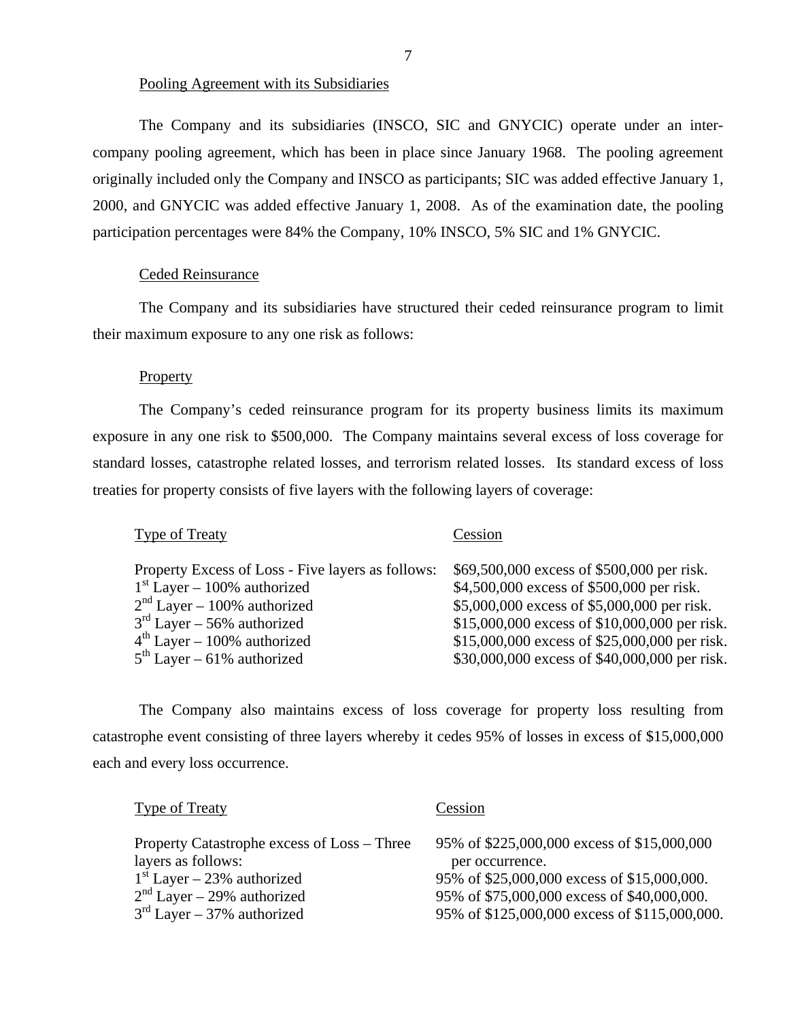### Pooling Agreement with its Subsidiaries

The Company and its subsidiaries (INSCO, SIC and GNYCIC) operate under an intercompany pooling agreement, which has been in place since January 1968. The pooling agreement originally included only the Company and INSCO as participants; SIC was added effective January 1, 2000, and GNYCIC was added effective January 1, 2008. As of the examination date, the pooling participation percentages were 84% the Company, 10% INSCO, 5% SIC and 1% GNYCIC.

#### Ceded Reinsurance

The Company and its subsidiaries have structured their ceded reinsurance program to limit their maximum exposure to any one risk as follows:

#### **Property**

The Company's ceded reinsurance program for its property business limits its maximum exposure in any one risk to \$500,000. The Company maintains several excess of loss coverage for standard losses, catastrophe related losses, and terrorism related losses. Its standard excess of loss treaties for property consists of five layers with the following layers of coverage:

| Cession                                       |
|-----------------------------------------------|
| \$69,500,000 excess of \$500,000 per risk.    |
| \$4,500,000 excess of \$500,000 per risk.     |
| \$5,000,000 excess of \$5,000,000 per risk.   |
| \$15,000,000 excess of \$10,000,000 per risk. |
| \$15,000,000 excess of \$25,000,000 per risk. |
| \$30,000,000 excess of \$40,000,000 per risk. |
|                                               |

The Company also maintains excess of loss coverage for property loss resulting from catastrophe event consisting of three layers whereby it cedes 95% of losses in excess of \$15,000,000 each and every loss occurrence.

| Type of Treaty                                                                                                                                                    | Cession                                                                                                                                                                                                       |
|-------------------------------------------------------------------------------------------------------------------------------------------------------------------|---------------------------------------------------------------------------------------------------------------------------------------------------------------------------------------------------------------|
| Property Catastrophe excess of Loss – Three<br>layers as follows:<br>$1st Layer - 23%$ authorized<br>$2nd Layer - 29%$ authorized<br>$3rd Layer - 37%$ authorized | 95% of \$225,000,000 excess of \$15,000,000<br>per occurrence.<br>95% of \$25,000,000 excess of \$15,000,000.<br>95% of \$75,000,000 excess of \$40,000,000.<br>95% of \$125,000,000 excess of \$115,000,000. |
|                                                                                                                                                                   |                                                                                                                                                                                                               |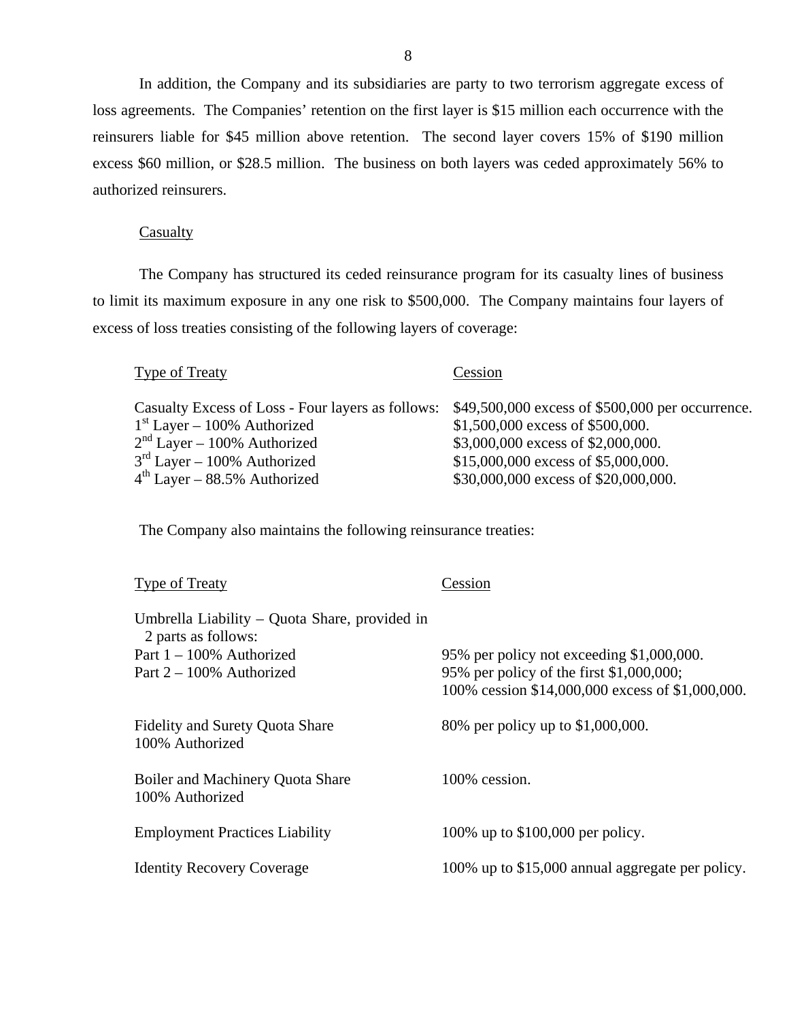In addition, the Company and its subsidiaries are party to two terrorism aggregate excess of loss agreements. The Companies' retention on the first layer is \$15 million each occurrence with the reinsurers liable for \$45 million above retention. The second layer covers 15% of \$190 million excess \$60 million, or \$28.5 million. The business on both layers was ceded approximately 56% to authorized reinsurers.

#### **Casualty**

The Company has structured its ceded reinsurance program for its casualty lines of business to limit its maximum exposure in any one risk to \$500,000. The Company maintains four layers of excess of loss treaties consisting of the following layers of coverage:

### Type of Treaty Cession

Casualty Excess of Loss - Four layers as follows: \$49,500,000 excess of \$500,000 per occurrence.  $1<sup>st</sup> Layer - 100%$  Authorized \$1,500,000 excess of \$500,000.  $2<sup>nd</sup> Layer - 100%$  Authorized \$3,000,000 excess of \$2,000,000.<br>  $3<sup>rd</sup> Layer - 100%$  Authorized \$15,000,000 excess of \$5,000,000  $3^{\text{rd}}$  Layer – 100% Authorized  $4^{\text{th}}$  Layer – 88.5% Authorized \$30,000,000 excess of \$5,000,000.<br> $4^{\text{th}}$  Layer – 88.5% Authorized \$30,000,000 excess of \$20,000,000 \$30,000,000 excess of \$20,000,000.

The Company also maintains the following reinsurance treaties:

| Type of Treaty                                                       | Cession                                          |
|----------------------------------------------------------------------|--------------------------------------------------|
| Umbrella Liability – Quota Share, provided in<br>2 parts as follows: |                                                  |
| Part $1 - 100\%$ Authorized                                          | 95% per policy not exceeding \$1,000,000.        |
| Part $2 - 100\%$ Authorized                                          | 95% per policy of the first \$1,000,000;         |
|                                                                      | 100% cession \$14,000,000 excess of \$1,000,000. |
| <b>Fidelity and Surety Quota Share</b><br>100% Authorized            | 80% per policy up to \$1,000,000.                |
| Boiler and Machinery Quota Share<br>100% Authorized                  | 100% cession.                                    |
| <b>Employment Practices Liability</b>                                | 100% up to \$100,000 per policy.                 |
| <b>Identity Recovery Coverage</b>                                    | 100% up to \$15,000 annual aggregate per policy. |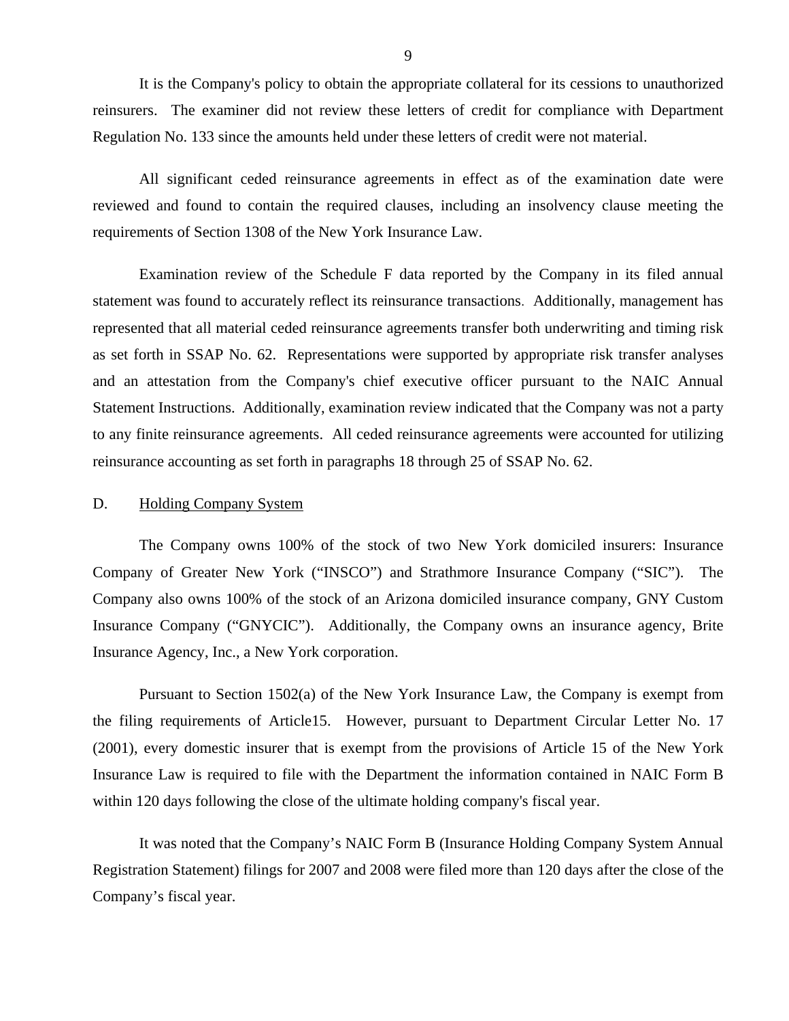<span id="page-10-0"></span>It is the Company's policy to obtain the appropriate collateral for its cessions to unauthorized reinsurers. The examiner did not review these letters of credit for compliance with Department Regulation No. 133 since the amounts held under these letters of credit were not material.

All significant ceded reinsurance agreements in effect as of the examination date were reviewed and found to contain the required clauses, including an insolvency clause meeting the requirements of Section 1308 of the New York Insurance Law.

Examination review of the Schedule F data reported by the Company in its filed annual statement was found to accurately reflect its reinsurance transactions. Additionally, management has represented that all material ceded reinsurance agreements transfer both underwriting and timing risk as set forth in SSAP No. 62. Representations were supported by appropriate risk transfer analyses and an attestation from the Company's chief executive officer pursuant to the NAIC Annual Statement Instructions. Additionally, examination review indicated that the Company was not a party to any finite reinsurance agreements. All ceded reinsurance agreements were accounted for utilizing reinsurance accounting as set forth in paragraphs 18 through 25 of SSAP No. 62.

#### D. Holding Company System

The Company owns 100% of the stock of two New York domiciled insurers: Insurance Company of Greater New York ("INSCO") and Strathmore Insurance Company ("SIC"). The Company also owns 100% of the stock of an Arizona domiciled insurance company, GNY Custom Insurance Company ("GNYCIC"). Additionally, the Company owns an insurance agency, Brite Insurance Agency, Inc., a New York corporation.

Pursuant to Section 1502(a) of the New York Insurance Law, the Company is exempt from the filing requirements of Article15. However, pursuant to Department Circular Letter No. 17 (2001), every domestic insurer that is exempt from the provisions of Article 15 of the New York Insurance Law is required to file with the Department the information contained in NAIC Form B within 120 days following the close of the ultimate holding company's fiscal year.

It was noted that the Company's NAIC Form B (Insurance Holding Company System Annual Registration Statement) filings for 2007 and 2008 were filed more than 120 days after the close of the Company's fiscal year.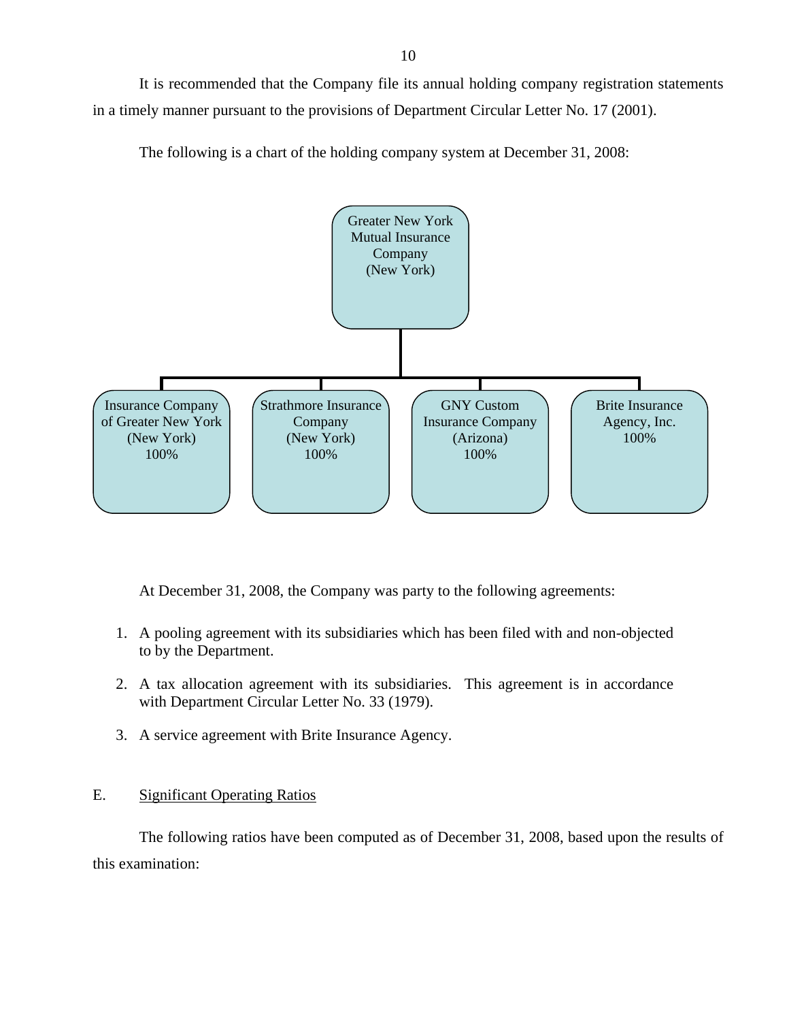<span id="page-11-0"></span>It is recommended that the Company file its annual holding company registration statements in a timely manner pursuant to the provisions of Department Circular Letter No. 17 (2001).

The following is a chart of the holding company system at December 31, 2008:



At December 31, 2008, the Company was party to the following agreements:

- 1. A pooling agreement with its subsidiaries which has been filed with and non-objected to by the Department.
- 2. A tax allocation agreement with its subsidiaries. This agreement is in accordance with Department Circular Letter No. 33 (1979).
- 3. A service agreement with Brite Insurance Agency.

## E. Significant Operating Ratios

The following ratios have been computed as of December 31, 2008, based upon the results of this examination: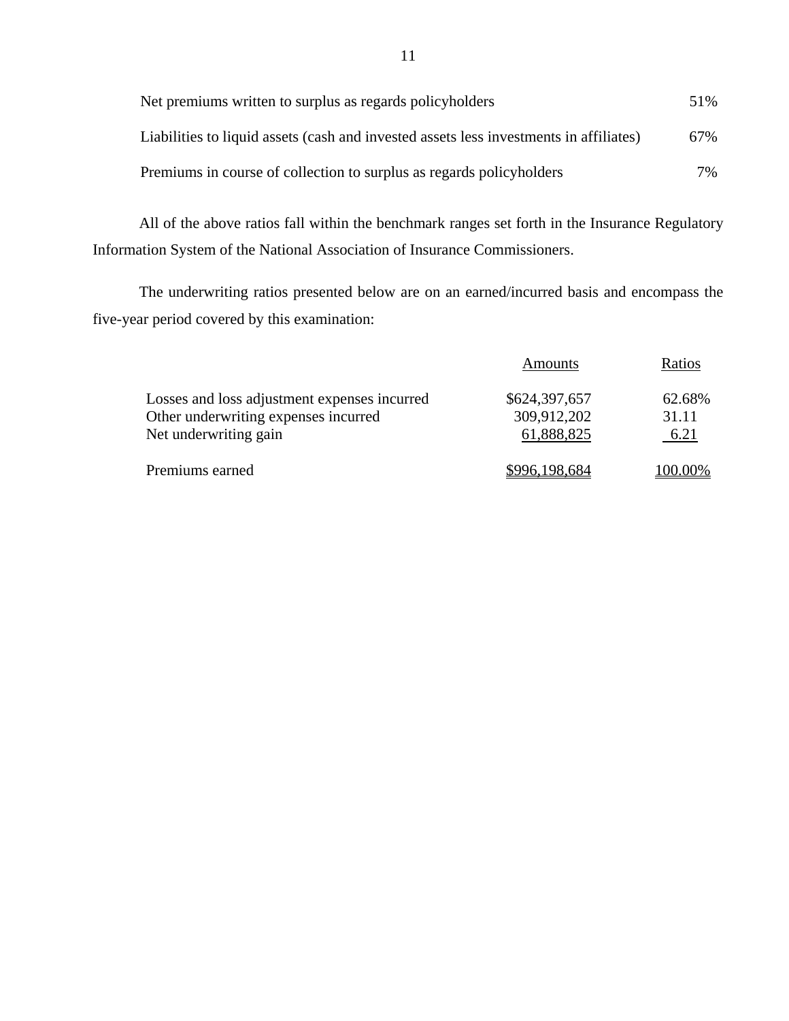| Net premiums written to surplus as regards policyholders                               | 51% |
|----------------------------------------------------------------------------------------|-----|
| Liabilities to liquid assets (cash and invested assets less investments in affiliates) | 67% |
| Premiums in course of collection to surplus as regards policyholders                   | 7%  |

All of the above ratios fall within the benchmark ranges set forth in the Insurance Regulatory Information System of the National Association of Insurance Commissioners.

The underwriting ratios presented below are on an earned/incurred basis and encompass the five-year period covered by this examination:

|                                              | Amounts       | Ratios  |
|----------------------------------------------|---------------|---------|
| Losses and loss adjustment expenses incurred | \$624,397,657 | 62.68%  |
| Other underwriting expenses incurred         | 309,912,202   | 31.11   |
| Net underwriting gain                        | 61,888,825    | 6.21    |
| Premiums earned                              | \$996,198,684 | 100.00% |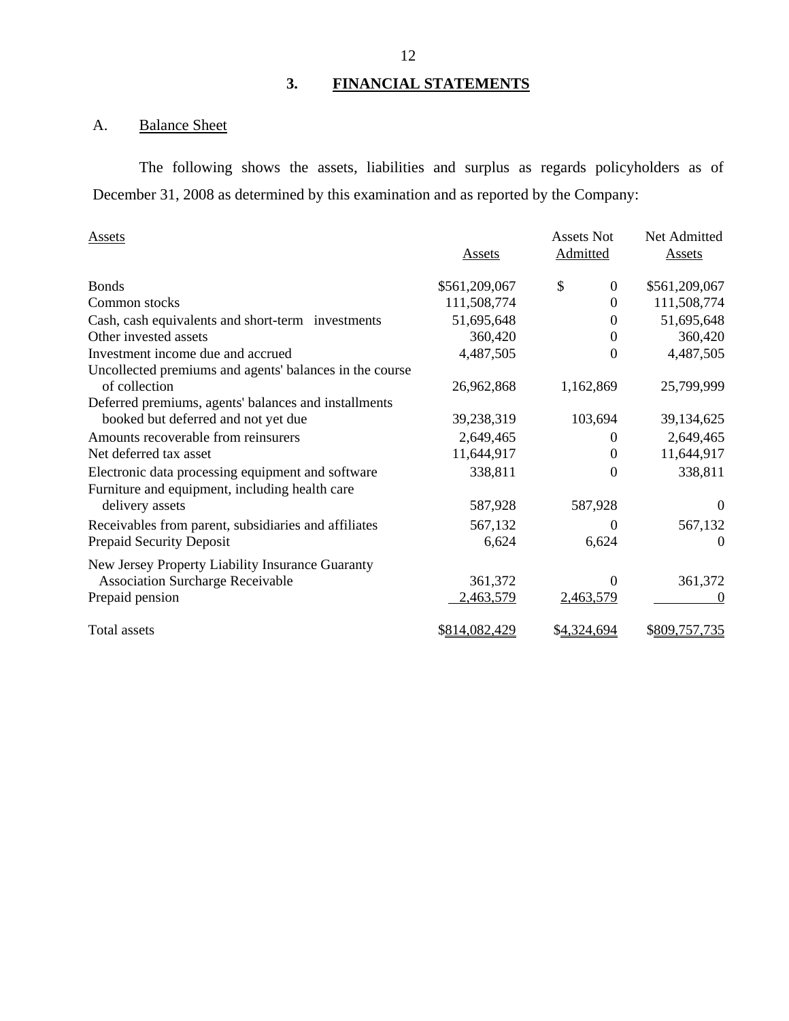# **3. FINANCIAL STATEMENTS**

## A. Balance Sheet

The following shows the assets, liabilities and surplus as regards policyholders as of December 31, 2008 as determined by this examination and as reported by the Company:

| <b>Assets</b>                                           | <b>Assets</b> | <b>Assets Not</b><br>Admitted | Net Admitted<br><b>Assets</b> |
|---------------------------------------------------------|---------------|-------------------------------|-------------------------------|
| <b>Bonds</b>                                            | \$561,209,067 | \$<br>$\mathbf{0}$            | \$561,209,067                 |
| Common stocks                                           | 111,508,774   | $\Omega$                      | 111,508,774                   |
| Cash, cash equivalents and short-term investments       | 51,695,648    | $\Omega$                      | 51,695,648                    |
| Other invested assets                                   | 360,420       | $\Omega$                      | 360,420                       |
| Investment income due and accrued                       | 4,487,505     | $\theta$                      | 4,487,505                     |
| Uncollected premiums and agents' balances in the course |               |                               |                               |
| of collection                                           | 26,962,868    | 1,162,869                     | 25,799,999                    |
| Deferred premiums, agents' balances and installments    |               |                               |                               |
| booked but deferred and not yet due                     | 39,238,319    | 103,694                       | 39,134,625                    |
| Amounts recoverable from reinsurers                     | 2,649,465     | $\Omega$                      | 2,649,465                     |
| Net deferred tax asset                                  | 11,644,917    | $\Omega$                      | 11,644,917                    |
| Electronic data processing equipment and software       | 338,811       | $\boldsymbol{0}$              | 338,811                       |
| Furniture and equipment, including health care          |               |                               |                               |
| delivery assets                                         | 587,928       | 587,928                       | $\theta$                      |
| Receivables from parent, subsidiaries and affiliates    | 567,132       | $\theta$                      | 567,132                       |
| Prepaid Security Deposit                                | 6,624         | 6,624                         | $\Omega$                      |
| New Jersey Property Liability Insurance Guaranty        |               |                               |                               |
| <b>Association Surcharge Receivable</b>                 | 361,372       | $\Omega$                      | 361,372                       |
| Prepaid pension                                         | 2,463,579     | 2,463,579                     |                               |
| Total assets                                            | \$814,082,429 | \$4,324,694                   | \$809,757,735                 |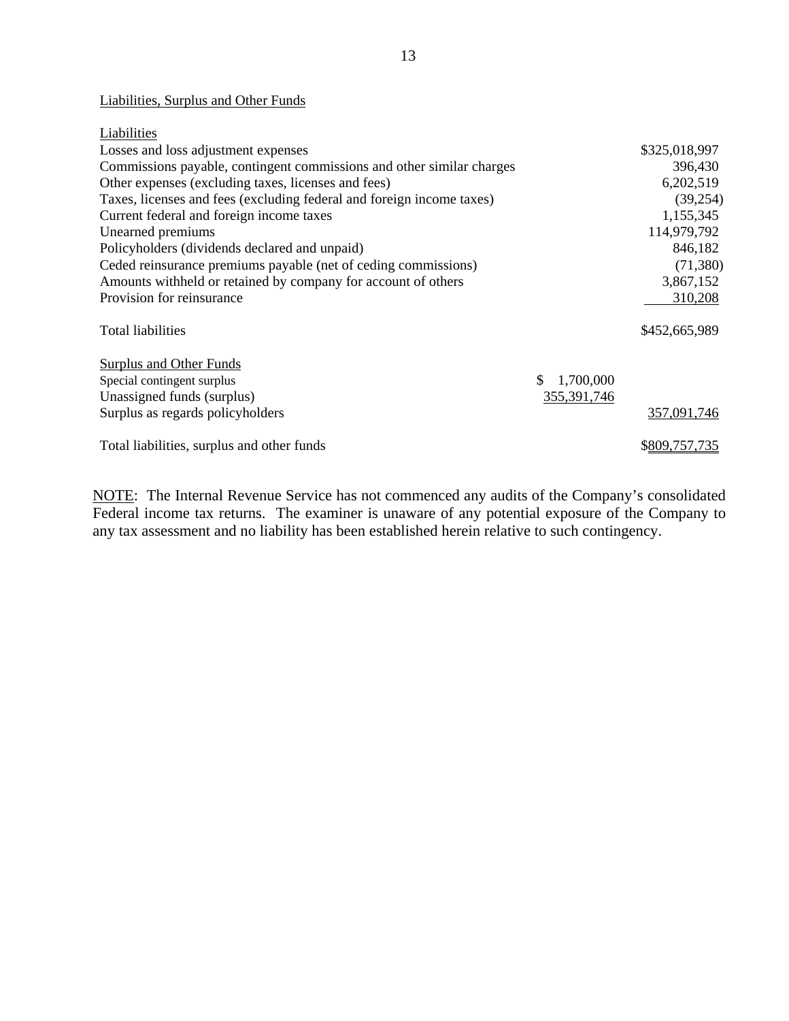## Liabilities, Surplus and Other Funds

| Liabilities                                                           |               |
|-----------------------------------------------------------------------|---------------|
| Losses and loss adjustment expenses                                   | \$325,018,997 |
| Commissions payable, contingent commissions and other similar charges | 396,430       |
| Other expenses (excluding taxes, licenses and fees)                   | 6,202,519     |
| Taxes, licenses and fees (excluding federal and foreign income taxes) | (39,254)      |
| Current federal and foreign income taxes                              | 1,155,345     |
| Unearned premiums                                                     | 114,979,792   |
| Policyholders (dividends declared and unpaid)                         | 846,182       |
| Ceded reinsurance premiums payable (net of ceding commissions)        | (71,380)      |
| Amounts withheld or retained by company for account of others         | 3,867,152     |
| Provision for reinsurance                                             | 310,208       |
| Total liabilities                                                     | \$452,665,989 |
| Surplus and Other Funds                                               |               |
| \$.<br>1,700,000<br>Special contingent surplus                        |               |
| Unassigned funds (surplus)<br>355, 391, 746                           |               |
| Surplus as regards policyholders                                      | 357,091,746   |
| Total liabilities, surplus and other funds                            | \$809,757,735 |

NOTE: The Internal Revenue Service has not commenced any audits of the Company's consolidated Federal income tax returns. The examiner is unaware of any potential exposure of the Company to any tax assessment and no liability has been established herein relative to such contingency.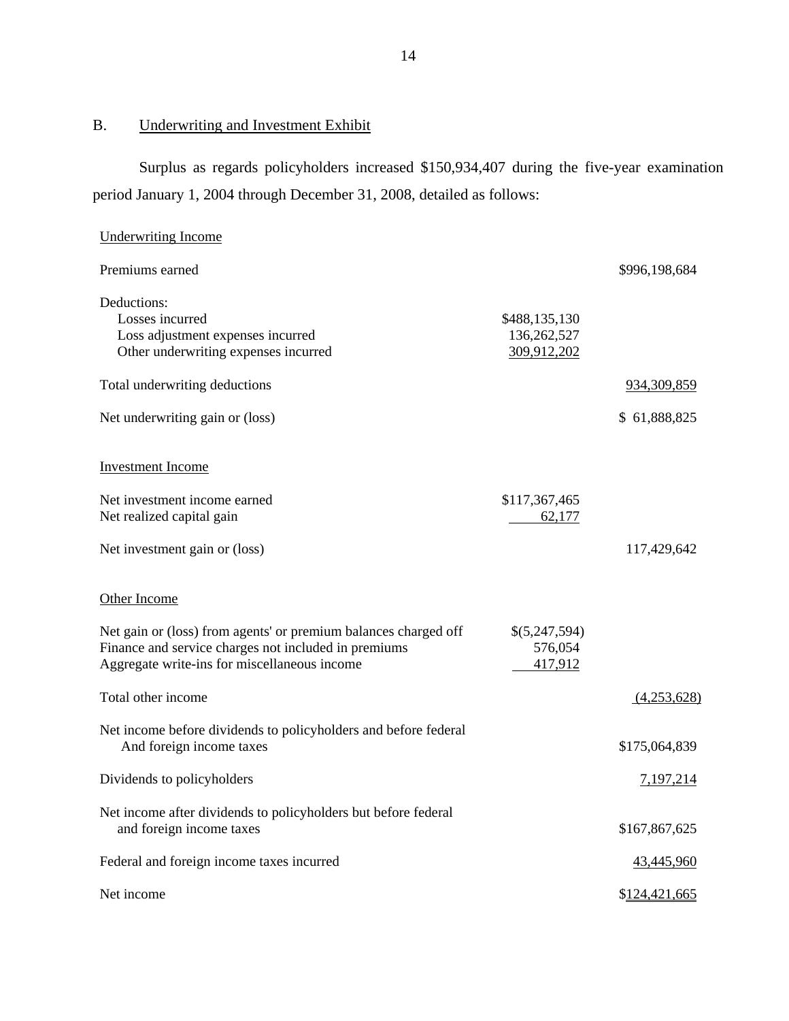# B. Underwriting and Investment Exhibit

Surplus as regards policyholders increased \$150,934,407 during the five-year examination period January 1, 2004 through December 31, 2008, detailed as follows:

| <b>Underwriting Income</b>                                                                                                                                              |                                             |               |
|-------------------------------------------------------------------------------------------------------------------------------------------------------------------------|---------------------------------------------|---------------|
| Premiums earned                                                                                                                                                         |                                             | \$996,198,684 |
| Deductions:<br>Losses incurred<br>Loss adjustment expenses incurred<br>Other underwriting expenses incurred                                                             | \$488,135,130<br>136,262,527<br>309,912,202 |               |
| Total underwriting deductions                                                                                                                                           |                                             | 934,309,859   |
| Net underwriting gain or (loss)                                                                                                                                         |                                             | \$61,888,825  |
| <b>Investment Income</b>                                                                                                                                                |                                             |               |
| Net investment income earned<br>Net realized capital gain                                                                                                               | \$117,367,465<br>62,177                     |               |
| Net investment gain or (loss)                                                                                                                                           |                                             | 117,429,642   |
| Other Income                                                                                                                                                            |                                             |               |
| Net gain or (loss) from agents' or premium balances charged off<br>Finance and service charges not included in premiums<br>Aggregate write-ins for miscellaneous income | \$(5,247,594)<br>576,054<br>417,912         |               |
| Total other income                                                                                                                                                      |                                             | (4,253,628)   |
| Net income before dividends to policyholders and before federal<br>And foreign income taxes                                                                             |                                             | \$175,064,839 |
| Dividends to policyholders                                                                                                                                              |                                             | 7,197,214     |
| Net income after dividends to policyholders but before federal<br>and foreign income taxes                                                                              |                                             | \$167,867,625 |
| Federal and foreign income taxes incurred                                                                                                                               |                                             | 43,445,960    |
| Net income                                                                                                                                                              |                                             | \$124,421,665 |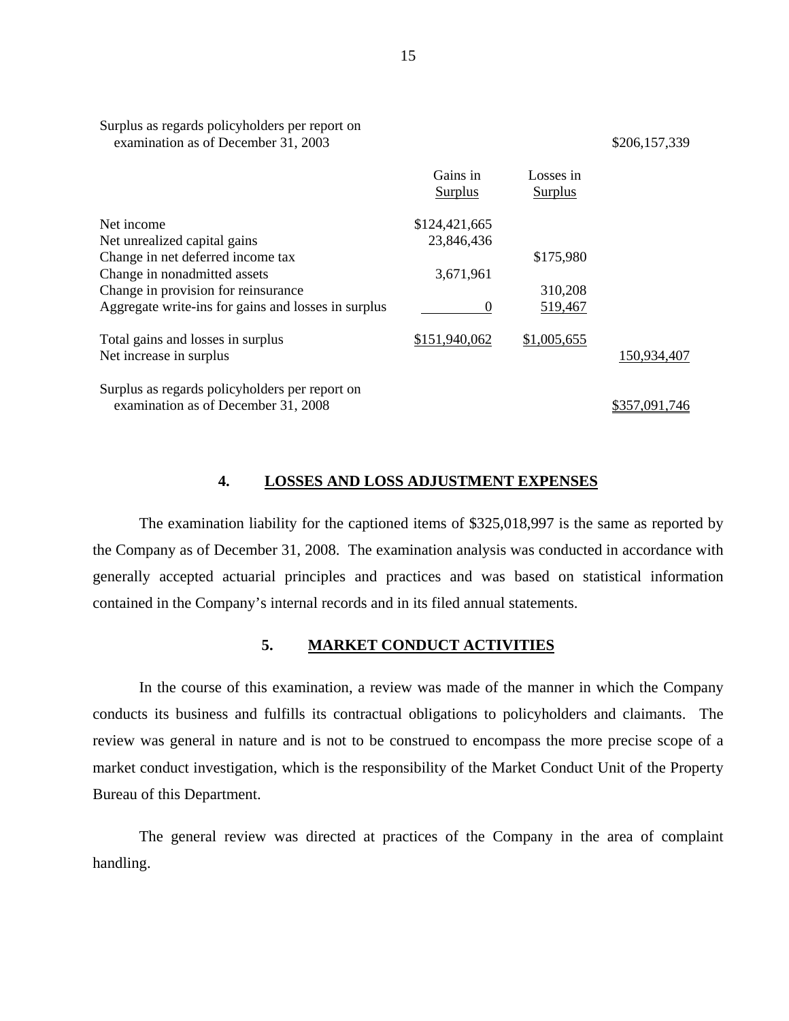| examination as of December 31, 2003                 |                     |                      | \$206,157,339 |
|-----------------------------------------------------|---------------------|----------------------|---------------|
|                                                     | Gains in<br>Surplus | Losses in<br>Surplus |               |
| Net income                                          | \$124,421,665       |                      |               |
| Net unrealized capital gains                        | 23,846,436          |                      |               |
| Change in net deferred income tax                   |                     | \$175,980            |               |
| Change in nonadmitted assets                        | 3,671,961           |                      |               |
| Change in provision for reinsurance                 |                     | 310,208              |               |
| Aggregate write-ins for gains and losses in surplus |                     | 519,467              |               |
| Total gains and losses in surplus                   | \$151,940,062       | \$1,005,655          |               |

Surplus as regards policyholders per report on examination as of December 31, 2008 \$357,091,746

Net increase in surplus

Surplus as regards policyholders per report on

150,934,407

#### **4. LOSSES AND LOSS ADJUSTMENT EXPENSES**

The examination liability for the captioned items of \$325,018,997 is the same as reported by the Company as of December 31, 2008. The examination analysis was conducted in accordance with generally accepted actuarial principles and practices and was based on statistical information contained in the Company's internal records and in its filed annual statements.

### **5. MARKET CONDUCT ACTIVITIES**

In the course of this examination, a review was made of the manner in which the Company conducts its business and fulfills its contractual obligations to policyholders and claimants. The review was general in nature and is not to be construed to encompass the more precise scope of a market conduct investigation, which is the responsibility of the Market Conduct Unit of the Property Bureau of this Department.

The general review was directed at practices of the Company in the area of complaint handling.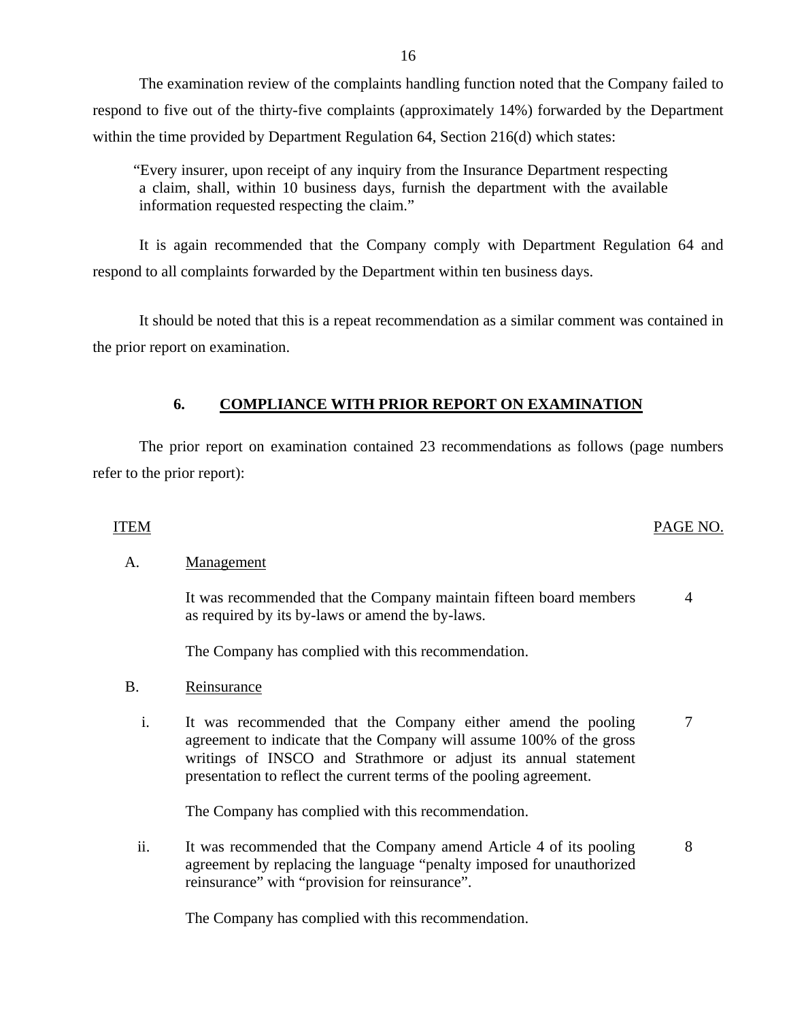The examination review of the complaints handling function noted that the Company failed to respond to five out of the thirty-five complaints (approximately 14%) forwarded by the Department within the time provided by Department Regulation 64, Section 216(d) which states:

"Every insurer, upon receipt of any inquiry from the Insurance Department respecting a claim, shall, within 10 business days, furnish the department with the available information requested respecting the claim."

It is again recommended that the Company comply with Department Regulation 64 and respond to all complaints forwarded by the Department within ten business days.

It should be noted that this is a repeat recommendation as a similar comment was contained in the prior report on examination.

## **6. COMPLIANCE WITH PRIOR REPORT ON EXAMINATION**

The prior report on examination contained 23 recommendations as follows (page numbers refer to the prior report):

## ITEM PAGE NO.

## A. Management

It was recommended that the Company maintain fifteen board members as required by its by-laws or amend the by-laws. 4

The Company has complied with this recommendation.

## B. Reinsurance

i. It was recommended that the Company either amend the pooling agreement to indicate that the Company will assume 100% of the gross writings of INSCO and Strathmore or adjust its annual statement presentation to reflect the current terms of the pooling agreement. 7

The Company has complied with this recommendation.

ii. It was recommended that the Company amend Article 4 of its pooling agreement by replacing the language "penalty imposed for unauthorized reinsurance" with "provision for reinsurance". 8

The Company has complied with this recommendation.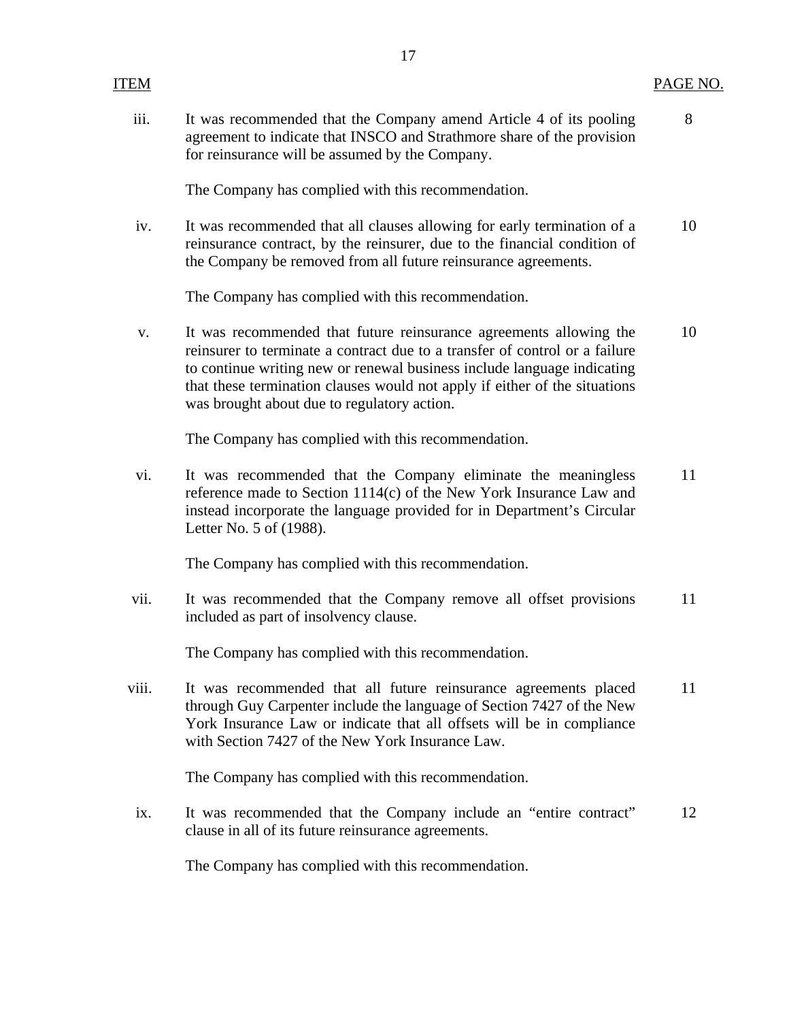|       | $\mathbf{r}$                                                                                                                                                                                                                                                                                                                                              |          |
|-------|-----------------------------------------------------------------------------------------------------------------------------------------------------------------------------------------------------------------------------------------------------------------------------------------------------------------------------------------------------------|----------|
| ITEM  |                                                                                                                                                                                                                                                                                                                                                           | PAGE NO. |
| iii.  | It was recommended that the Company amend Article 4 of its pooling<br>agreement to indicate that INSCO and Strathmore share of the provision<br>for reinsurance will be assumed by the Company.                                                                                                                                                           | 8        |
|       | The Company has complied with this recommendation.                                                                                                                                                                                                                                                                                                        |          |
| iv.   | It was recommended that all clauses allowing for early termination of a<br>reinsurance contract, by the reinsurer, due to the financial condition of<br>the Company be removed from all future reinsurance agreements.                                                                                                                                    | 10       |
|       | The Company has complied with this recommendation.                                                                                                                                                                                                                                                                                                        |          |
| V.    | It was recommended that future reinsurance agreements allowing the<br>reinsurer to terminate a contract due to a transfer of control or a failure<br>to continue writing new or renewal business include language indicating<br>that these termination clauses would not apply if either of the situations<br>was brought about due to regulatory action. | 10       |
|       | The Company has complied with this recommendation.                                                                                                                                                                                                                                                                                                        |          |
| vi.   | It was recommended that the Company eliminate the meaningless<br>reference made to Section 1114(c) of the New York Insurance Law and<br>instead incorporate the language provided for in Department's Circular<br>Letter No. 5 of (1988).                                                                                                                 | 11       |
|       | The Company has complied with this recommendation.                                                                                                                                                                                                                                                                                                        |          |
| vii.  | It was recommended that the Company remove all offset provisions<br>included as part of insolvency clause.                                                                                                                                                                                                                                                | 11       |
|       | The Company has complied with this recommendation.                                                                                                                                                                                                                                                                                                        |          |
| viii. | It was recommended that all future reinsurance agreements placed<br>through Guy Carpenter include the language of Section 7427 of the New<br>York Insurance Law or indicate that all offsets will be in compliance<br>with Section 7427 of the New York Insurance Law.                                                                                    | 11       |
|       | The Company has complied with this recommendation.                                                                                                                                                                                                                                                                                                        |          |
| ix.   | It was recommended that the Company include an "entire contract"<br>clause in all of its future reinsurance agreements.                                                                                                                                                                                                                                   | 12       |

The Company has complied with this recommendation.

## 17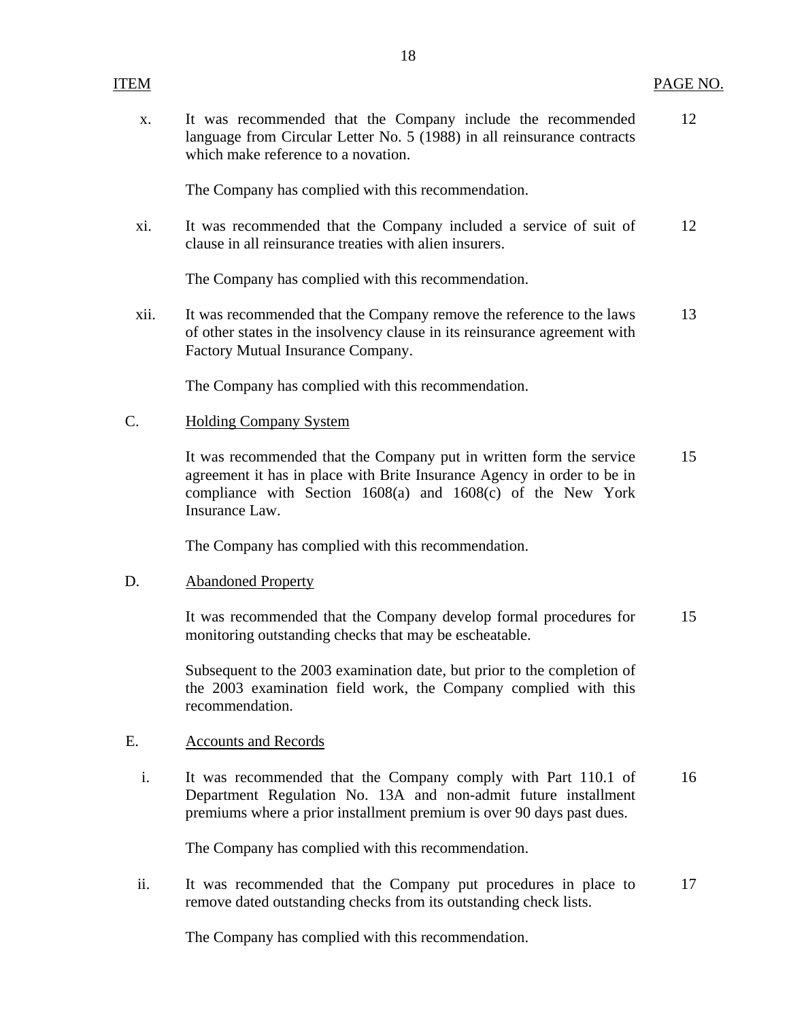x. It was recommended that the Company include the recommended 12 language from Circular Letter No. 5 (1988) in all reinsurance contracts which make reference to a novation.

The Company has complied with this recommendation.

xi. It was recommended that the Company included a service of suit of 12 clause in all reinsurance treaties with alien insurers.

The Company has complied with this recommendation.

xii. It was recommended that the Company remove the reference to the laws 13 of other states in the insolvency clause in its reinsurance agreement with Factory Mutual Insurance Company.

The Company has complied with this recommendation.

## C. Holding Company System

It was recommended that the Company put in written form the service 15 agreement it has in place with Brite Insurance Agency in order to be in compliance with Section 1608(a) and 1608(c) of the New York Insurance Law.

The Company has complied with this recommendation.

### D. Abandoned Property

It was recommended that the Company develop formal procedures for 15 monitoring outstanding checks that may be escheatable.

Subsequent to the 2003 examination date, but prior to the completion of the 2003 examination field work, the Company complied with this recommendation.

## E. Accounts and Records

i. It was recommended that the Company comply with Part 110.1 of 16 Department Regulation No. 13A and non-admit future installment premiums where a prior installment premium is over 90 days past dues.

The Company has complied with this recommendation.

ii. It was recommended that the Company put procedures in place to 17 remove dated outstanding checks from its outstanding check lists.

The Company has complied with this recommendation.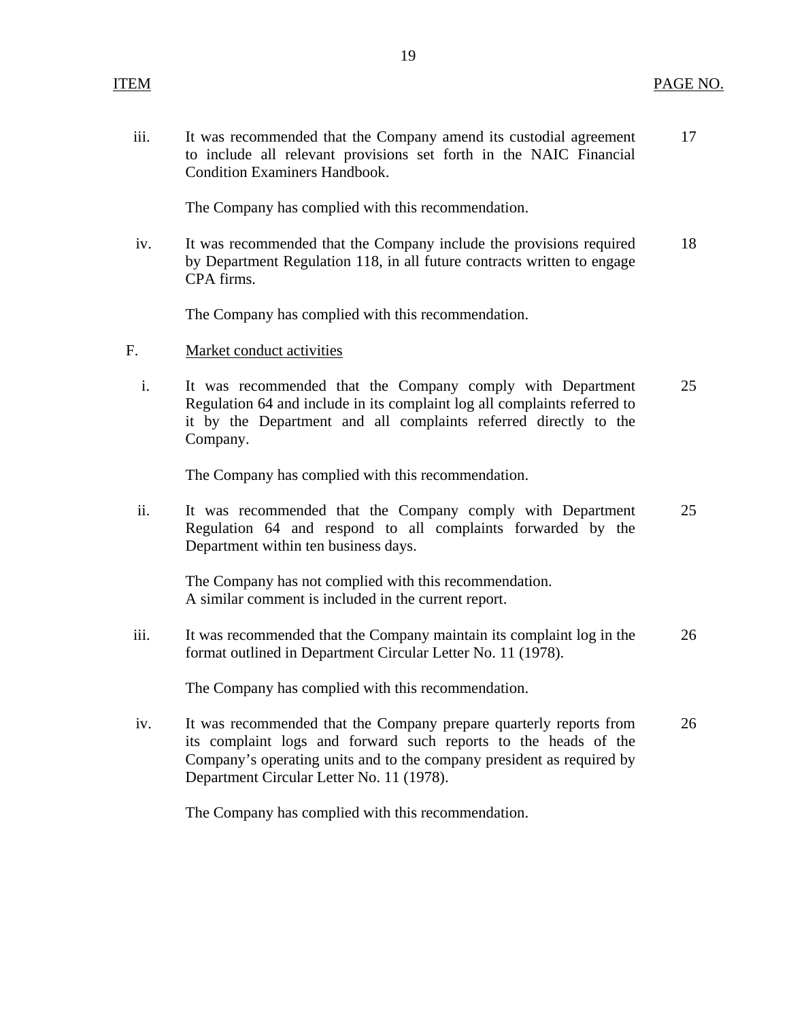iii. It was recommended that the Company amend its custodial agreement 17 to include all relevant provisions set forth in the NAIC Financial Condition Examiners Handbook.

The Company has complied with this recommendation.

iv. It was recommended that the Company include the provisions required 18 by Department Regulation 118, in all future contracts written to engage CPA firms.

The Company has complied with this recommendation.

- F. Market conduct activities
	- i. It was recommended that the Company comply with Department 25 Regulation 64 and include in its complaint log all complaints referred to it by the Department and all complaints referred directly to the Company.

The Company has complied with this recommendation.

ii. It was recommended that the Company comply with Department 25 Regulation 64 and respond to all complaints forwarded by the Department within ten business days.

The Company has not complied with this recommendation. A similar comment is included in the current report.

iii. It was recommended that the Company maintain its complaint log in the 26 format outlined in Department Circular Letter No. 11 (1978).

The Company has complied with this recommendation.

iv. It was recommended that the Company prepare quarterly reports from 26 its complaint logs and forward such reports to the heads of the Company's operating units and to the company president as required by Department Circular Letter No. 11 (1978).

The Company has complied with this recommendation.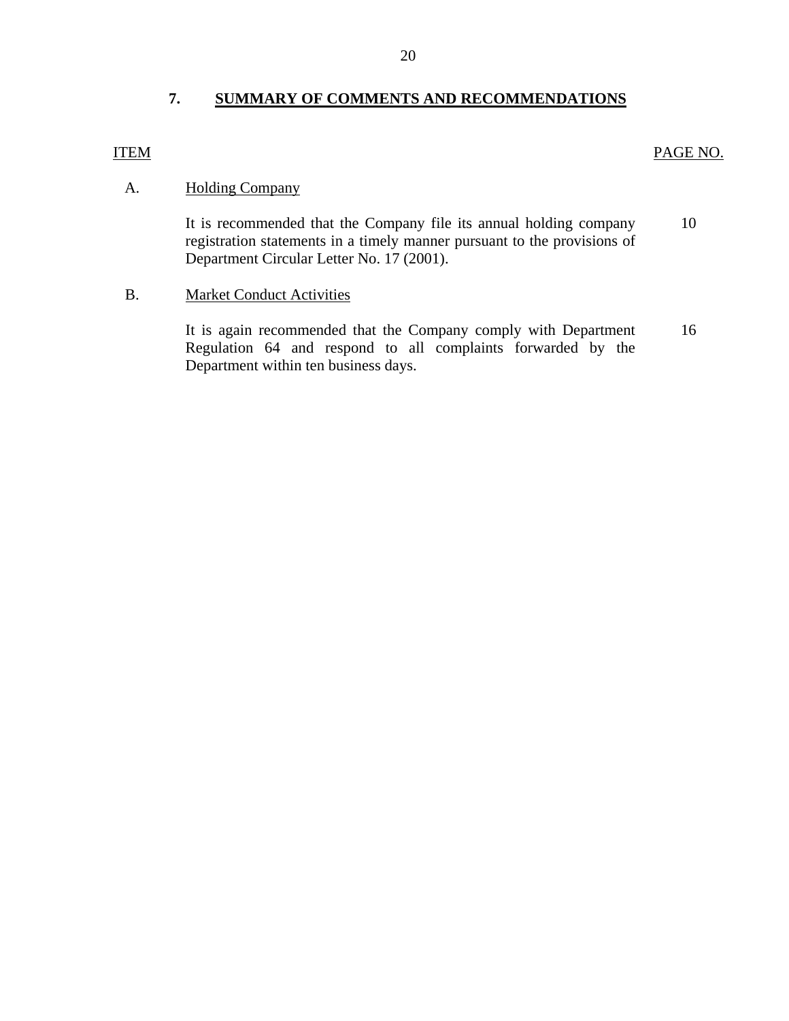## **7. SUMMARY OF COMMENTS AND RECOMMENDATIONS**

#### <span id="page-21-0"></span>ITEM PAGE NO.

## A. Holding Company

It is recommended that the Company file its annual holding company 10 registration statements in a timely manner pursuant to the provisions of Department Circular Letter No. 17 (2001).

## B. Market Conduct Activities

It is again recommended that the Company comply with Department 16 Regulation 64 and respond to all complaints forwarded by the Department within ten business days.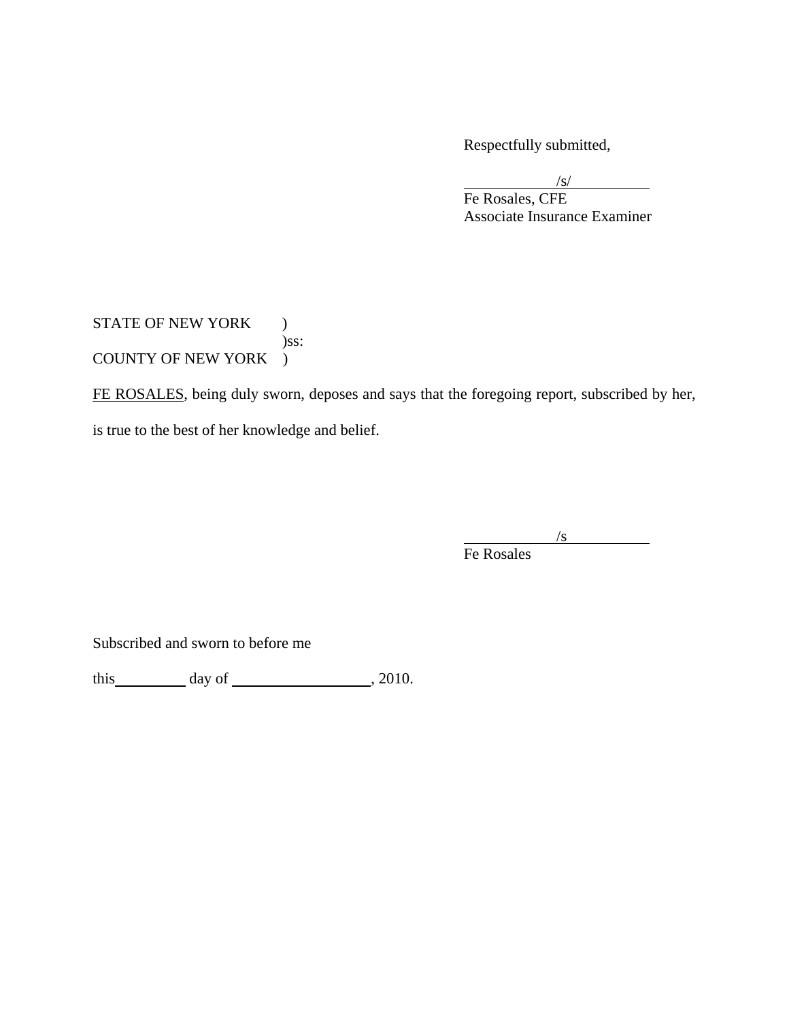Respectfully submitted,

 $\sqrt{s}$ /s/ Fe Rosales, CFE Associate Insurance Examiner

## STATE OF NEW YORK ) )ss: COUNTY OF NEW YORK )

FE ROSALES, being duly sworn, deposes and says that the foregoing report, subscribed by her, is true to the best of her knowledge and belief.

 $/$ s Fe Rosales

Subscribed and sworn to before me

this  $\_\_\_\_\$  day of  $\_\_\_\_\_\$  , 2010.